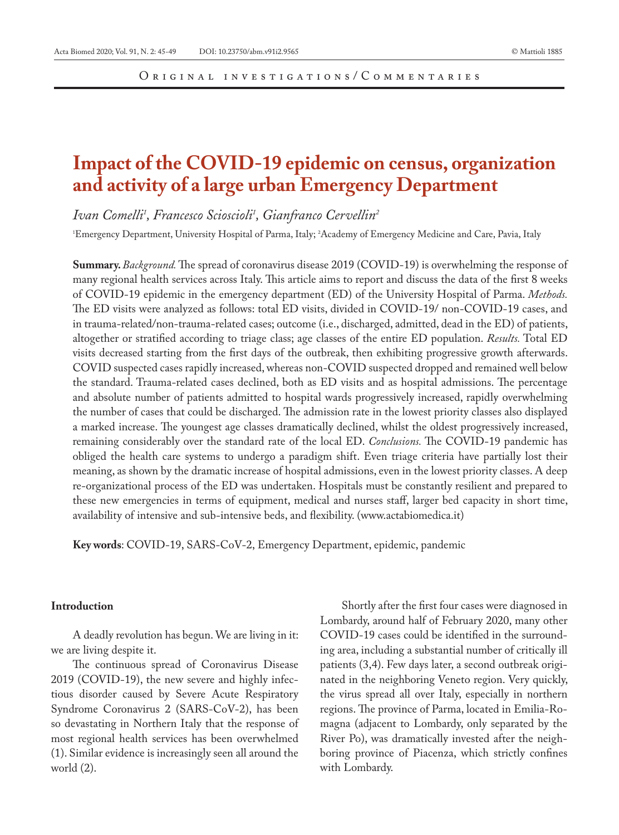# **Impact of the COVID-19 epidemic on census, organization and activity of a large urban Emergency Department**

*Ivan Comelli1 , Francesco Scioscioli1 , Gianfranco Cervellin2*

1 Emergency Department, University Hospital of Parma, Italy; 2 Academy of Emergency Medicine and Care, Pavia, Italy

**Summary.** *Background.* The spread of coronavirus disease 2019 (COVID-19) is overwhelming the response of many regional health services across Italy. This article aims to report and discuss the data of the first 8 weeks of COVID-19 epidemic in the emergency department (ED) of the University Hospital of Parma. *Methods.*  The ED visits were analyzed as follows: total ED visits, divided in COVID-19/ non-COVID-19 cases, and in trauma-related/non-trauma-related cases; outcome (i.e., discharged, admitted, dead in the ED) of patients, altogether or stratified according to triage class; age classes of the entire ED population. *Results.* Total ED visits decreased starting from the first days of the outbreak, then exhibiting progressive growth afterwards. COVID suspected cases rapidly increased, whereas non-COVID suspected dropped and remained well below the standard. Trauma-related cases declined, both as ED visits and as hospital admissions. The percentage and absolute number of patients admitted to hospital wards progressively increased, rapidly overwhelming the number of cases that could be discharged. The admission rate in the lowest priority classes also displayed a marked increase. The youngest age classes dramatically declined, whilst the oldest progressively increased, remaining considerably over the standard rate of the local ED. *Conclusions.* The COVID-19 pandemic has obliged the health care systems to undergo a paradigm shift. Even triage criteria have partially lost their meaning, as shown by the dramatic increase of hospital admissions, even in the lowest priority classes. A deep re-organizational process of the ED was undertaken. Hospitals must be constantly resilient and prepared to these new emergencies in terms of equipment, medical and nurses staff, larger bed capacity in short time, availability of intensive and sub-intensive beds, and flexibility. (www.actabiomedica.it)

**Key words**: COVID-19, SARS-CoV-2, Emergency Department, epidemic, pandemic

## **Introduction**

A deadly revolution has begun. We are living in it: we are living despite it.

The continuous spread of Coronavirus Disease 2019 (COVID-19), the new severe and highly infectious disorder caused by Severe Acute Respiratory Syndrome Coronavirus 2 (SARS-CoV-2), has been so devastating in Northern Italy that the response of most regional health services has been overwhelmed (1). Similar evidence is increasingly seen all around the world (2).

Shortly after the first four cases were diagnosed in Lombardy, around half of February 2020, many other COVID-19 cases could be identified in the surrounding area, including a substantial number of critically ill patients (3,4). Few days later, a second outbreak originated in the neighboring Veneto region. Very quickly, the virus spread all over Italy, especially in northern regions. The province of Parma, located in Emilia-Romagna (adjacent to Lombardy, only separated by the River Po), was dramatically invested after the neighboring province of Piacenza, which strictly confines with Lombardy.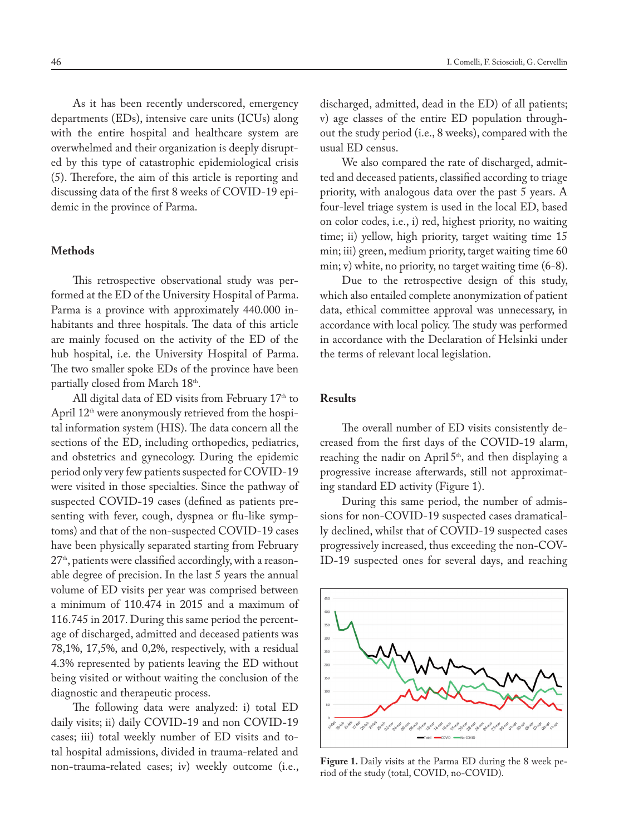As it has been recently underscored, emergency departments (EDs), intensive care units (ICUs) along with the entire hospital and healthcare system are overwhelmed and their organization is deeply disrupted by this type of catastrophic epidemiological crisis (5). Therefore, the aim of this article is reporting and discussing data of the first 8 weeks of COVID-19 epidemic in the province of Parma.

### **Methods**

This retrospective observational study was performed at the ED of the University Hospital of Parma. Parma is a province with approximately 440.000 inhabitants and three hospitals. The data of this article are mainly focused on the activity of the ED of the hub hospital, i.e. the University Hospital of Parma. The two smaller spoke EDs of the province have been partially closed from March 18th.

All digital data of ED visits from February  $17<sup>th</sup>$  to April  $12<sup>th</sup>$  were anonymously retrieved from the hospital information system (HIS). The data concern all the sections of the ED, including orthopedics, pediatrics, and obstetrics and gynecology. During the epidemic period only very few patients suspected for COVID-19 were visited in those specialties. Since the pathway of suspected COVID-19 cases (defined as patients presenting with fever, cough, dyspnea or flu-like symptoms) and that of the non-suspected COVID-19 cases have been physically separated starting from February 27<sup>th</sup>, patients were classified accordingly, with a reasonable degree of precision. In the last 5 years the annual volume of ED visits per year was comprised between a minimum of 110.474 in 2015 and a maximum of 116.745 in 2017. During this same period the percentage of discharged, admitted and deceased patients was 78,1%, 17,5%, and 0,2%, respectively, with a residual 4.3% represented by patients leaving the ED without being visited or without waiting the conclusion of the diagnostic and therapeutic process.

The following data were analyzed: i) total ED daily visits; ii) daily COVID-19 and non COVID-19 cases; iii) total weekly number of ED visits and total hospital admissions, divided in trauma-related and non-trauma-related cases; iv) weekly outcome (i.e., discharged, admitted, dead in the ED) of all patients; v) age classes of the entire ED population throughout the study period (i.e., 8 weeks), compared with the usual ED census.

We also compared the rate of discharged, admitted and deceased patients, classified according to triage priority, with analogous data over the past 5 years. A four-level triage system is used in the local ED, based on color codes, i.e., i) red, highest priority, no waiting time; ii) yellow, high priority, target waiting time 15 min; iii) green, medium priority, target waiting time 60 min; v) white, no priority, no target waiting time (6-8).

Due to the retrospective design of this study, which also entailed complete anonymization of patient data, ethical committee approval was unnecessary, in accordance with local policy. The study was performed in accordance with the Declaration of Helsinki under the terms of relevant local legislation.

# **Results**

The overall number of ED visits consistently decreased from the first days of the COVID-19 alarm, reaching the nadir on April 5<sup>th</sup>, and then displaying a progressive increase afterwards, still not approximating standard ED activity (Figure 1).

During this same period, the number of admissions for non-COVID-19 suspected cases dramatically declined, whilst that of COVID-19 suspected cases progressively increased, thus exceeding the non-COV-ID-19 suspected ones for several days, and reaching



Figure 1. Daily visits at the Parma ED during the 8 week period of the study (total, COVID, no-COVID).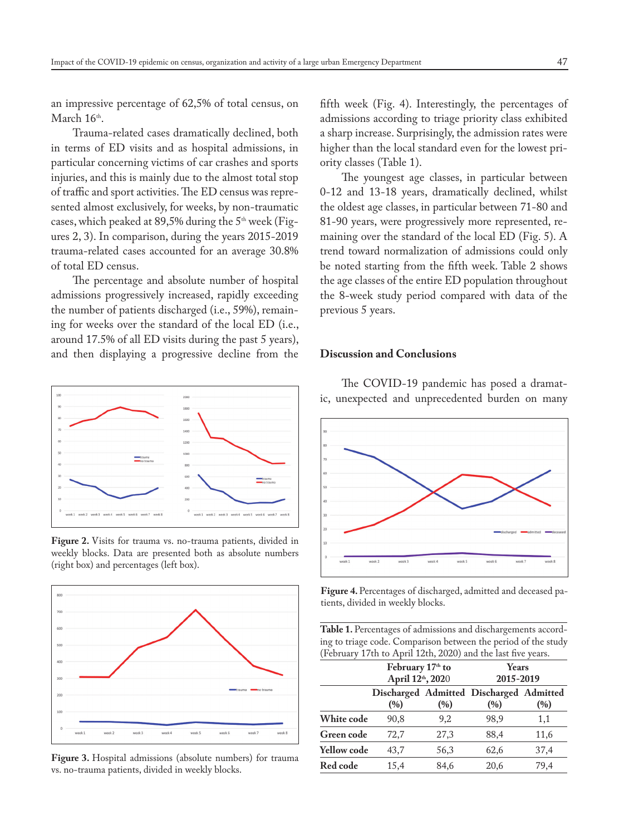an impressive percentage of 62,5% of total census, on March 16<sup>th</sup>

Trauma-related cases dramatically declined, both in terms of ED visits and as hospital admissions, in particular concerning victims of car crashes and sports injuries, and this is mainly due to the almost total stop of traffic and sport activities. The ED census was represented almost exclusively, for weeks, by non-traumatic cases, which peaked at 89,5% during the  $5<sup>th</sup>$  week (Figures 2, 3). In comparison, during the years 2015-2019 trauma-related cases accounted for an average 30.8% of total ED census.

The percentage and absolute number of hospital admissions progressively increased, rapidly exceeding the number of patients discharged (i.e., 59%), remaining for weeks over the standard of the local ED (i.e., around 17.5% of all ED visits during the past 5 years), and then displaying a progressive decline from the



**Figure 2.** Visits for trauma vs. no-trauma patients, divided in weekly blocks. Data are presented both as absolute numbers (right box) and percentages (left box).



**Figure 3.** Hospital admissions (absolute numbers) for trauma vs. no-trauma patients, divided in weekly blocks.

fifth week (Fig. 4). Interestingly, the percentages of admissions according to triage priority class exhibited a sharp increase. Surprisingly, the admission rates were higher than the local standard even for the lowest priority classes (Table 1).

The youngest age classes, in particular between 0-12 and 13-18 years, dramatically declined, whilst the oldest age classes, in particular between 71-80 and 81-90 years, were progressively more represented, remaining over the standard of the local ED (Fig. 5). A trend toward normalization of admissions could only be noted starting from the fifth week. Table 2 shows the age classes of the entire ED population throughout the 8-week study period compared with data of the previous 5 years.

# **Discussion and Conclusions**

The COVID-19 pandemic has posed a dramatic, unexpected and unprecedented burden on many



**Figure 4.** Percentages of discharged, admitted and deceased patients, divided in weekly blocks.

Table 1. Percentages of admissions and dischargements according to triage code. Comparison between the period of the study (February 17th to April 12th, 2020) and the last five years.

|                    | February 17 <sup>th</sup> to<br>April 12th, 2020 |      | Years<br>2015-2019                             |      |
|--------------------|--------------------------------------------------|------|------------------------------------------------|------|
|                    | (%)                                              | (%)  | Discharged Admitted Discharged Admitted<br>(%) | (%)  |
| White code         | 90,8                                             | 9,2  | 98,9                                           | 1,1  |
| <b>Green code</b>  | 72,7                                             | 27,3 | 88,4                                           | 11,6 |
| <b>Yellow code</b> | 43,7                                             | 56,3 | 62,6                                           | 37,4 |
| Red code           | 15,4                                             | 84,6 | 20,6                                           | 79,4 |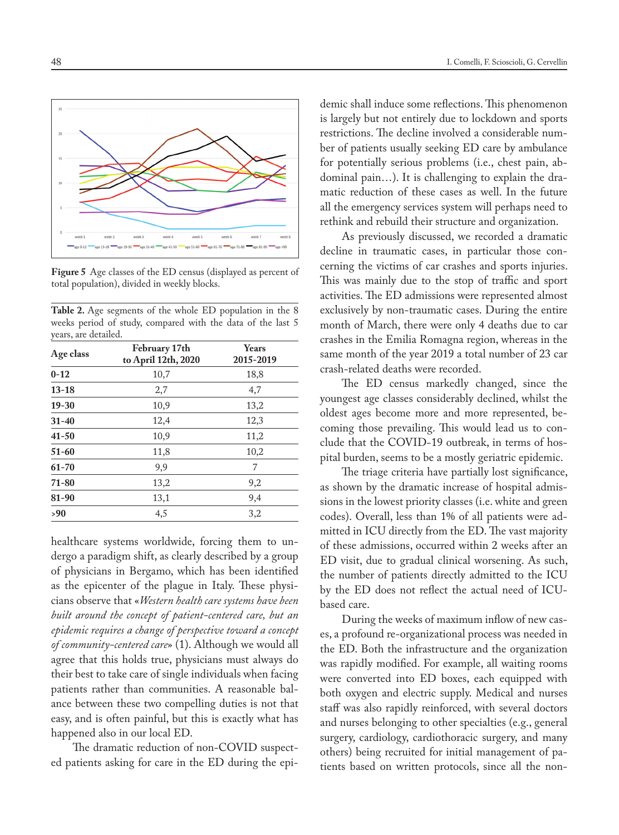

**Figure 5** Age classes of the ED census (displayed as percent of total population), divided in weekly blocks.

**Table 2.** Age segments of the whole ED population in the 8 weeks period of study, compared with the data of the last 5 years, are detailed.

| Age class | February 17th<br>to April 12th, 2020 | <b>Years</b><br>2015-2019 |  |
|-----------|--------------------------------------|---------------------------|--|
| $0 - 12$  | 10,7                                 | 18,8                      |  |
| $13 - 18$ | 2,7                                  | 4,7                       |  |
| $19 - 30$ | 10,9                                 | 13,2                      |  |
| $31 - 40$ | 12,4                                 | 12,3                      |  |
| $41 - 50$ | 10,9                                 | 11,2                      |  |
| $51 - 60$ | 11,8                                 | 10,2                      |  |
| $61 - 70$ | 9,9                                  | 7                         |  |
| $71 - 80$ | 13,2                                 | 9,2                       |  |
| 81-90     | 13,1                                 | 9,4                       |  |
| >90       | 4,5                                  | 3,2                       |  |

healthcare systems worldwide, forcing them to undergo a paradigm shift, as clearly described by a group of physicians in Bergamo, which has been identified as the epicenter of the plague in Italy. These physicians observe that «*Western health care systems have been built around the concept of patient-centered care, but an epidemic requires a change of perspective toward a concept of community-centered care*» (1). Although we would all agree that this holds true, physicians must always do their best to take care of single individuals when facing patients rather than communities. A reasonable balance between these two compelling duties is not that easy, and is often painful, but this is exactly what has happened also in our local ED.

The dramatic reduction of non-COVID suspected patients asking for care in the ED during the epidemic shall induce some reflections. This phenomenon is largely but not entirely due to lockdown and sports restrictions. The decline involved a considerable number of patients usually seeking ED care by ambulance for potentially serious problems (i.e., chest pain, abdominal pain…). It is challenging to explain the dramatic reduction of these cases as well. In the future all the emergency services system will perhaps need to rethink and rebuild their structure and organization.

As previously discussed, we recorded a dramatic decline in traumatic cases, in particular those concerning the victims of car crashes and sports injuries. This was mainly due to the stop of traffic and sport activities. The ED admissions were represented almost exclusively by non-traumatic cases. During the entire month of March, there were only 4 deaths due to car crashes in the Emilia Romagna region, whereas in the same month of the year 2019 a total number of 23 car crash-related deaths were recorded.

The ED census markedly changed, since the youngest age classes considerably declined, whilst the oldest ages become more and more represented, becoming those prevailing. This would lead us to conclude that the COVID-19 outbreak, in terms of hospital burden, seems to be a mostly geriatric epidemic.

The triage criteria have partially lost significance, as shown by the dramatic increase of hospital admissions in the lowest priority classes (i.e. white and green codes). Overall, less than 1% of all patients were admitted in ICU directly from the ED. The vast majority of these admissions, occurred within 2 weeks after an ED visit, due to gradual clinical worsening. As such, the number of patients directly admitted to the ICU by the ED does not reflect the actual need of ICUbased care.

During the weeks of maximum inflow of new cases, a profound re-organizational process was needed in the ED. Both the infrastructure and the organization was rapidly modified. For example, all waiting rooms were converted into ED boxes, each equipped with both oxygen and electric supply. Medical and nurses staff was also rapidly reinforced, with several doctors and nurses belonging to other specialties (e.g., general surgery, cardiology, cardiothoracic surgery, and many others) being recruited for initial management of patients based on written protocols, since all the non